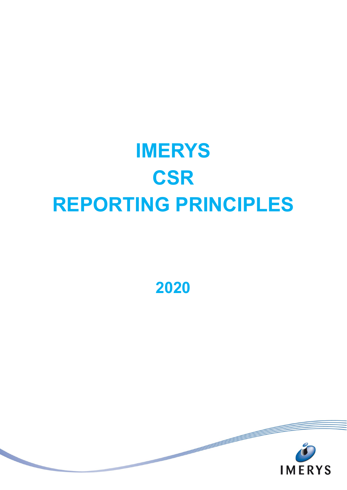# **IMERYS CSR REPORTING PRINCIPLES**

**2020**

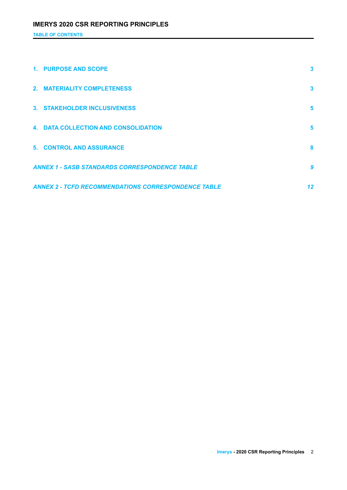**TABLE OF CONTENTS**

| 1. PURPOSE AND SCOPE                                       | 3  |
|------------------------------------------------------------|----|
| 2. MATERIALITY COMPLETENESS                                | 3  |
| 3. STAKEHOLDER INCLUSIVENESS                               | 5  |
| <b>4. DATA COLLECTION AND CONSOLIDATION</b>                | 5  |
| <b>5. CONTROL AND ASSURANCE</b>                            | 8  |
| <b>ANNEX 1 - SASB STANDARDS CORRESPONDENCE TABLE</b>       | 9  |
| <b>ANNEX 2 - TCFD RECOMMENDATIONS CORRESPONDENCE TABLE</b> | 12 |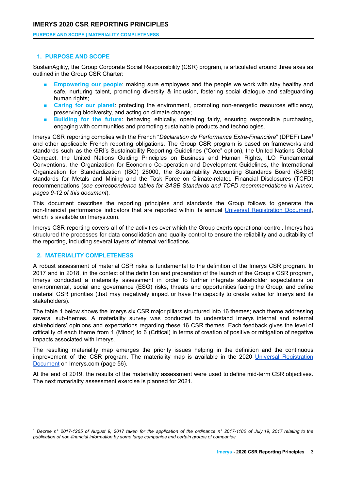**PURPOSE AND SCOPE | MATERIALITY COMPLETENESS**

#### <span id="page-2-0"></span>**1. PURPOSE AND SCOPE**

SustainAgility, the Group Corporate Social Responsibility (CSR) program, is articulated around three axes as outlined in the Group CSR Charter:

- **Empowering our people:** making sure employees and the people we work with stay healthy and safe, nurturing talent, promoting diversity & inclusion, fostering social dialogue and safeguarding human rights;
- **Caring for our planet:** protecting the environment, promoting non-energetic resources efficiency, preserving biodiversity, and acting on climate change;
- **Building for the future**: behaving ethically, operating fairly, ensuring responsible purchasing, engaging with communities and promoting sustainable products and technologies.

Imerys CSR reporting complies with the French "*Déclaration de Performance Extra-Financière*" (DPEF) Law 1 and other applicable French reporting obligations. The Group CSR program is based on frameworks and standards such as the GRI's Sustainability Reporting Guidelines ("Core" option), the United Nations Global Compact, the United Nations Guiding Principles on Business and Human Rights, ILO Fundamental Conventions, the Organization for Economic Co-operation and Development Guidelines, the International Organization for Standardization (ISO) 26000, the Sustainability Accounting Standards Board (SASB) standards for Metals and Mining and the Task Force on [Climate-related](https://www.fsb-tcfd.org/) Financial Disclosures (TCFD) recommendations (*see correspondence tables for SASB Standards and TCFD recommendations in Annex, pages 9-12 of this document*).

This document describes the reporting principles and standards the Group follows to generate the non-financial performance indicators that are reported within its annual Universal [Registration](https://www.imerys.com/sites/imerys.com/files/2021/03/23/IMERYS-URD-2020-EN-ANNUAL-FINANCIAL-REPORT.pdf) Document, which is available on Imerys.com.

Imerys CSR reporting covers all of the activities over which the Group exerts operational control. Imerys has structured the processes for data consolidation and quality control to ensure the reliability and auditability of the reporting, including several layers of internal verifications.

#### <span id="page-2-1"></span>**2. MATERIALITY COMPLETENESS**

A robust assessment of material CSR risks is fundamental to the definition of the Imerys CSR program. In 2017 and in 2018, in the context of the definition and preparation of the launch of the Group's CSR program, Imerys conducted a materiality assessment in order to further integrate stakeholder expectations on environmental, social and governance (ESG) risks, threats and opportunities facing the Group, and define material CSR priorities (that may negatively impact or have the capacity to create value for Imerys and its stakeholders).

The table 1 below shows the Imerys six CSR major pillars structured into 16 themes; each theme addressing several sub-themes. A materiality survey was conducted to understand Imerys internal and external stakeholders' opinions and expectations regarding these 16 CSR themes. Each feedback gives the level of criticality of each theme from 1 (Minor) to 6 (Critical) in terms of creation of positive or mitigation of negative impacts associated with Imerys.

The resulting materiality map emerges the priority issues helping in the definition and the continuous improvement of the CSR program. The materiality map is available in the 2020 Universal [Registration](https://www.imerys.com/sites/imerys.com/files/2021/03/23/IMERYS-URD-2020-EN-ANNUAL-FINANCIAL-REPORT.pdf) [Document](https://www.imerys.com/sites/imerys.com/files/2021/03/23/IMERYS-URD-2020-EN-ANNUAL-FINANCIAL-REPORT.pdf) on Imerys.com (page 56).

At the end of 2019, the results of the materiality assessment were used to define mid-term CSR objectives. The next materiality assessment exercise is planned for 2021.

<sup>&</sup>lt;sup>1</sup> Decree n° 2017-1265 of August 9, 2017 taken for the application of the ordinance n° 2017-1180 of July 19, 2017 relating to the *publication of non-financial information by some large companies and certain groups of companies*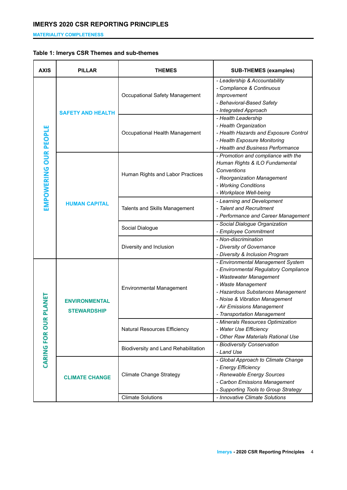**MATERIALITY COMPLETENESS**

## **Table 1: Imerys CSR Themes and sub-themes**

| <b>AXIS</b>           | <b>PILLAR</b>                              | THEMES                               | <b>SUB-THEMES (examples)</b>                                                                                                                                                                                                                                    |
|-----------------------|--------------------------------------------|--------------------------------------|-----------------------------------------------------------------------------------------------------------------------------------------------------------------------------------------------------------------------------------------------------------------|
|                       | <b>SAFETY AND HEALTH</b>                   | Occupational Safety Management       | - Leadership & Accountability<br>- Compliance & Continuous<br>Improvement<br>- Behavioral-Based Safety<br>- Integrated Approach                                                                                                                                 |
|                       |                                            | Occupational Health Management       | - Health Leadership<br>- Health Organization<br>- Health Hazards and Exposure Control<br>- Health Exposure Monitoring<br>- Health and Business Performance                                                                                                      |
| EMPOWERING OUR PEOPLE | <b>HUMAN CAPITAL</b>                       | Human Rights and Labor Practices     | - Promotion and compliance with the<br>Human Rights & ILO Fundamental<br>Conventions<br>- Reorganization Management<br>- Working Conditions<br>- Workplace Well-being                                                                                           |
|                       |                                            | Talents and Skills Management        | - Learning and Development<br>- Talent and Recruitment<br>- Performance and Career Management                                                                                                                                                                   |
|                       |                                            | Social Dialogue                      | - Social Dialogue Organization<br>- Employee Commitment                                                                                                                                                                                                         |
|                       |                                            | Diversity and Inclusion              | - Non-discrimination<br>- Diversity of Governance<br>- Diversity & Inclusion Program                                                                                                                                                                            |
| PLANET                | <b>ENVIRONMENTAL</b><br><b>STEWARDSHIP</b> | <b>Environmental Management</b>      | - Environmental Management System<br>- Environmental Regulatory Compliance<br>- Wastewater Management<br>- Waste Management<br>- Hazardous Substances Management<br>- Noise & Vibration Management<br>- Air Emissions Management<br>- Transportation Management |
| œ<br>CARING FOR OU    |                                            | Natural Resources Efficiency         | - Minerals Resources Optimization<br>- Water Use Efficiency<br>- Other Raw Materials Rational Use                                                                                                                                                               |
|                       |                                            | Biodiversity and Land Rehabilitation | - Biodiversity Conservation<br>- Land Use                                                                                                                                                                                                                       |
|                       | <b>CLIMATE CHANGE</b>                      | <b>Climate Change Strategy</b>       | - Global Approach to Climate Change<br>- Energy Efficiency<br>- Renewable Energy Sources<br>- Carbon Emissions Management<br>- Supporting Tools to Group Strategy                                                                                               |
|                       |                                            | <b>Climate Solutions</b>             | - Innovative Climate Solutions                                                                                                                                                                                                                                  |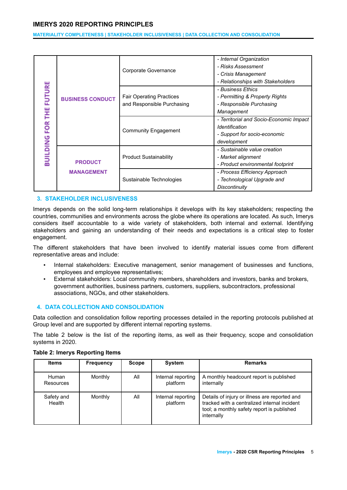**MATERIALITY COMPLETENESS | STAKEHOLDER INCLUSIVENESS | DATA COLLECTION AND CONSOLIDATION**

|                  |                                     |                                 | - Internal Organization                 |
|------------------|-------------------------------------|---------------------------------|-----------------------------------------|
|                  |                                     | Corporate Governance            | - Risks Assessment                      |
|                  |                                     |                                 | - Crisis Management                     |
|                  |                                     |                                 | - Relationships with Stakeholders       |
| <b>FUTURE</b>    |                                     |                                 | - Business Ethics                       |
|                  | <b>BUSINESS CONDUCT</b>             | <b>Fair Operating Practices</b> | - Permitting & Property Rights          |
|                  |                                     | and Responsible Purchasing      | - Responsible Purchasing                |
| Ĕ                |                                     |                                 | Management                              |
|                  |                                     |                                 | - Territorial and Socio-Economic Impact |
| FOR <sup>-</sup> |                                     | <b>Community Engagement</b>     | Identification                          |
|                  |                                     |                                 | - Support for socio-economic            |
| <b>BUILDING</b>  |                                     |                                 | development                             |
|                  |                                     |                                 | - Sustainable value creation            |
|                  | <b>PRODUCT</b><br><b>MANAGEMENT</b> | <b>Product Sustainability</b>   | - Market alignment                      |
|                  |                                     |                                 | - Product environmental footprint       |
|                  |                                     |                                 | - Process Efficiency Approach           |
|                  |                                     | Sustainable Technologies        | - Technological Upgrade and             |
|                  |                                     |                                 | <b>Discontinuity</b>                    |

#### **3. STAKEHOLDER INCLUSIVENESS**

Imerys depends on the solid long-term relationships it develops with its key stakeholders; respecting the countries, communities and environments across the globe where its operations are located. As such, Imerys considers itself accountable to a wide variety of stakeholders, both internal and external. Identifying stakeholders and gaining an understanding of their needs and expectations is a critical step to foster engagement.

The different stakeholders that have been involved to identify material issues come from different representative areas and include:

- Internal stakeholders: Executive management, senior management of businesses and functions, employees and employee representatives;
- External stakeholders: Local community members, shareholders and investors, banks and brokers, government authorities, business partners, customers, suppliers, subcontractors, professional associations, NGOs, and other stakeholders.

#### <span id="page-4-0"></span>**4. DATA COLLECTION AND CONSOLIDATION**

Data collection and consolidation follow reporting processes detailed in the reporting protocols published at Group level and are supported by different internal reporting systems.

The table 2 below is the list of the reporting items, as well as their frequency, scope and consolidation systems in 2020.

| <b>Items</b>         | <b>Frequency</b> | <b>Scope</b> | <b>System</b>                  | <b>Remarks</b>                                                                                                                                            |
|----------------------|------------------|--------------|--------------------------------|-----------------------------------------------------------------------------------------------------------------------------------------------------------|
| Human<br>Resources   | Monthly          | All          | Internal reporting<br>platform | A monthly headcount report is published<br>internally                                                                                                     |
| Safety and<br>Health | Monthly          | All          | Internal reporting<br>platform | Details of injury or illness are reported and<br>tracked with a centralized internal incident<br>tool; a monthly safety report is published<br>internally |

#### **Table 2: Imerys Reporting Items**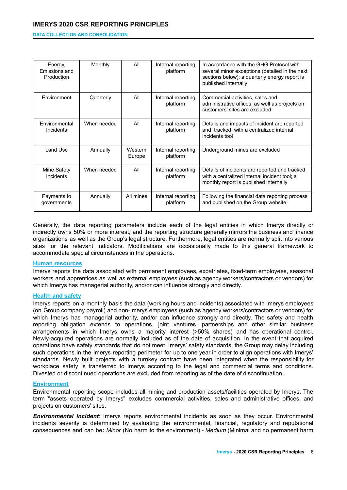#### **DATA COLLECTION AND CONSOLIDATION**

| Energy,<br>Emissions and<br>Production | Monthly     | All               | Internal reporting<br>platform | In accordance with the GHG Protocol with<br>several minor exceptions (detailed in the next<br>sections below); a quarterly energy report is<br>published internally |
|----------------------------------------|-------------|-------------------|--------------------------------|---------------------------------------------------------------------------------------------------------------------------------------------------------------------|
| Environment                            | Quarterly   | All               | Internal reporting<br>platform | Commercial activities, sales and<br>administrative offices, as well as projects on<br>customers' sites are excluded                                                 |
| Environmental<br>Incidents             | When needed | All               | Internal reporting<br>platform | Details and impacts of incident are reported<br>and tracked with a centralized internal<br>incidents tool                                                           |
| Land Use                               | Annually    | Western<br>Europe | Internal reporting<br>platform | Underground mines are excluded                                                                                                                                      |
| Mine Safety<br>Incidents               | When needed | All               | Internal reporting<br>platform | Details of incidents are reported and tracked<br>with a centralized internal incident tool; a<br>monthly report is published internally                             |
| Payments to<br>governments             | Annually    | All mines         | Internal reporting<br>platform | Following the financial data reporting process<br>and published on the Group website                                                                                |

Generally, the data reporting parameters include each of the legal entities in which Imerys directly or indirectly owns 50% or more interest, and the reporting structure generally mirrors the business and finance organizations as well as the Group's legal structure. Furthermore, legal entities are normally split into various sites for the relevant indicators. Modifications are occasionally made to this general framework to accommodate special circumstances in the operations.

#### **Human resources**

Imerys reports the data associated with permanent employees, expatriates, fixed-term employees, seasonal workers and apprentices as well as external employees (such as agency workers/contractors or vendors) for which Imerys has managerial authority, and/or can influence strongly and directly.

#### **Health and safety**

Imerys reports on a monthly basis the data (working hours and incidents) associated with Imerys employees (on Group company payroll) and non-Imerys employees (such as agency workers/contractors or vendors) for which Imerys has managerial authority, and/or can influence strongly and directly. The safety and health reporting obligation extends to operations, joint ventures, partnerships and other similar business arrangements in which Imerys owns a majority interest (>50% shares) and has operational control. Newly-acquired operations are normally included as of the date of acquisition. In the event that acquired operations have safety standards that do not meet Imerys' safety standards, the Group may delay including such operations in the Imerys reporting perimeter for up to one year in order to align operations with Imerys' standards. Newly built projects with a turnkey contract have been integrated when the responsibility for workplace safety is transferred to Imerys according to the legal and commercial terms and conditions. Divested or discontinued operations are excluded from reporting as of the date of discontinuation.

#### **Environment**

Environmental reporting scope includes all mining and production assets/facilities operated by Imerys. The term "assets operated by Imerys" excludes commercial activities, sales and administrative offices, and projects on customers' sites.

*Environmental incident*: Imerys reports environmental incidents as soon as they occur. Environmental incidents severity is determined by evaluating the environmental, financial, regulatory and reputational consequences and can be**:** *Minor* (No harm to the environment) - *Medium* (Minimal and no permanent harm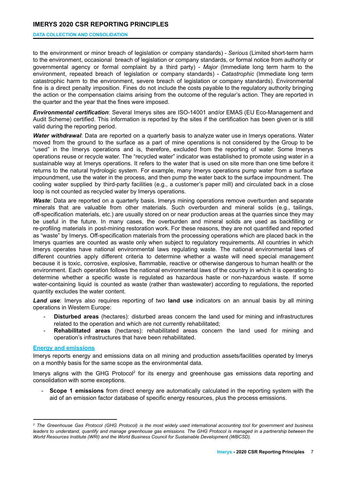#### **DATA COLLECTION AND CONSOLIDATION**

to the environment or minor breach of legislation or company standards) - *Serious* (Limited short-term harm to the environment, occasional breach of legislation or company standards, or formal notice from authority or governmental agency or formal complaint by a third party) - *Major* (Immediate long term harm to the environment, repeated breach of legislation or company standards) - *Catastrophic* (Immediate long term catastrophic harm to the environment, severe breach of legislation or company standards). Environmental fine is a direct penalty imposition. Fines do not include the costs payable to the regulatory authority bringing the action or the compensation claims arising from the outcome of the regular's action. They are reported in the quarter and the year that the fines were imposed.

*Environmental certification*: Several Imerys sites are ISO-14001 and/or EMAS (EU Eco-Management and Audit Scheme) certified. This information is reported by the sites if the certification has been given or is still valid during the reporting period.

*Water withdrawal*: Data are reported on a quarterly basis to analyze water use in Imerys operations. Water moved from the ground to the surface as a part of mine operations is not considered by the Group to be "used" in the Imerys operations and is, therefore, excluded from the reporting of water. Some Imerys operations reuse or recycle water. The "recycled water" indicator was established to promote using water in a sustainable way at Imerys operations. It refers to the water that is used on site more than one time before it returns to the natural hydrologic system. For example, many Imerys operations pump water from a surface impoundment, use the water in the process, and then pump the water back to the surface impoundment. The cooling water supplied by third-party facilities (e.g., a customer's paper mill) and circulated back in a close loop is not counted as recycled water by Imerys operations.

**Waste**: Data are reported on a quarterly basis. Imerys mining operations remove overburden and separate minerals that are valuable from other materials. Such overburden and mineral solids (e.g., tailings, off-specification materials, etc.) are usually stored on or near production areas at the quarries since they may be useful in the future. In many cases, the overburden and mineral solids are used as backfilling or re-profiling materials in post-mining restoration work. For these reasons, they are not quantified and reported as "waste" by Imerys. Off-specification materials from the processing operations which are placed back in the Imerys quarries are counted as waste only when subject to regulatory requirements. All countries in which Imerys operates have national environmental laws regulating waste. The national environmental laws of different countries apply different criteria to determine whether a waste will need special management because it is toxic, corrosive, explosive, flammable, reactive or otherwise dangerous to human health or the environment. Each operation follows the national environmental laws of the country in which it is operating to determine whether a specific waste is regulated as hazardous haste or non-hazardous waste. If some water-containing liquid is counted as waste (rather than wastewater) according to regulations, the reported quantity excludes the water content.

*Land use*: Imerys also requires reporting of two **land use** indicators on an annual basis by all mining operations in Western Europe:

- **Disturbed areas** (hectares): disturbed areas concern the land used for mining and infrastructures related to the operation and which are not currently rehabilitated;
- **Rehabilitated areas** (hectares): rehabilitated areas concern the land used for mining and operation's infrastructures that have been rehabilitated.

#### **Energy and emissions**

Imerys reports energy and emissions data on all mining and production assets/facilities operated by Imerys on a monthly basis for the same scope as the environmental data.

Imerys aligns with the GHG Protocol<sup>2</sup> for its energy and greenhouse gas emissions data reporting and consolidation with some exceptions.

- **Scope 1 emissions** from direct energy are automatically calculated in the reporting system with the aid of an emission factor database of specific energy resources, plus the process emissions.

<sup>&</sup>lt;sup>2</sup> The Greenhouse Gas Protocol (GHG Protocol) is the most widely used international accounting tool for government and business leaders to understand, quantify and manage greenhouse gas emissions. The GHG Protocol is managed in a partnership between the *World Resources Institute (WRI) and the World Business Council for Sustainable Development (WBCSD).*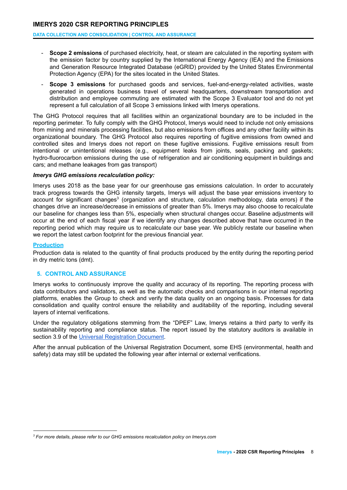**DATA COLLECTION AND CONSOLIDATION | CONTROL AND ASSURANCE**

- **Scope 2 emissions** of purchased electricity, heat, or steam are calculated in the reporting system with the emission factor by country supplied by the International Energy Agency (IEA) and the Emissions and Generation Resource Integrated Database (eGRID) provided by the United States Environmental Protection Agency (EPA) for the sites located in the United States.
- **Scope 3 emissions** for purchased goods and services, fuel-and-energy-related activities, waste generated in operations business travel of several headquarters, downstream transportation and distribution and employee commuting are estimated with the Scope 3 Evaluator tool and do not yet represent a full calculation of all Scope 3 emissions linked with Imerys operations.

The GHG Protocol requires that all facilities within an organizational boundary are to be included in the reporting perimeter. To fully comply with the GHG Protocol, Imerys would need to include not only emissions from mining and minerals processing facilities, but also emissions from offices and any other facility within its organizational boundary. The GHG Protocol also requires reporting of fugitive emissions from owned and controlled sites and Imerys does not report on these fugitive emissions. Fugitive emissions result from intentional or unintentional releases (e.g., equipment leaks from joints, seals, packing and gaskets; hydro-fluorocarbon emissions during the use of refrigeration and air conditioning equipment in buildings and cars; and methane leakages from gas transport)

#### *Imerys GHG emissions recalculation policy:*

Imerys uses 2018 as the base year for our greenhouse gas emissions calculation. In order to accurately track progress towards the GHG intensity targets, Imerys will adjust the base year emissions inventory to account for significant changes<sup>3</sup> (organization and structure, calculation methodology, data errors) if the changes drive an increase/decrease in emissions of greater than 5%. Imerys may also choose to recalculate our baseline for changes less than 5%, especially when structural changes occur. Baseline adjustments will occur at the end of each fiscal year if we identify any changes described above that have occurred in the reporting period which may require us to recalculate our base year. We publicly restate our baseline when we report the latest carbon footprint for the previous financial year.

#### **Production**

Production data is related to the quantity of final products produced by the entity during the reporting period in dry metric tons (dmt).

## <span id="page-7-0"></span>**5. CONTROL AND ASSURANCE**

Imerys works to continuously improve the quality and accuracy of its reporting. The reporting process with data contributors and validators, as well as the automatic checks and comparisons in our internal reporting platforms, enables the Group to check and verify the data quality on an ongoing basis. Processes for data consolidation and quality control ensure the reliability and auditability of the reporting, including several layers of internal verifications.

Under the regulatory obligations stemming from the "DPEF" Law, Imerys retains a third party to verify its sustainability reporting and compliance status. The report issued by the statutory auditors is available in section 3.9 of the Universal [Registration](https://www.imerys.com/sites/imerys.com/files/2021/03/23/IMERYS-URD-2020-EN-ANNUAL-FINANCIAL-REPORT.pdf) Document.

After the annual publication of the Universal Registration Document, some EHS (environmental, health and safety) data may still be updated the following year after internal or external verifications.

*<sup>3</sup> For more details, please refer to our GHG emissions recalculation policy on Imerys.com*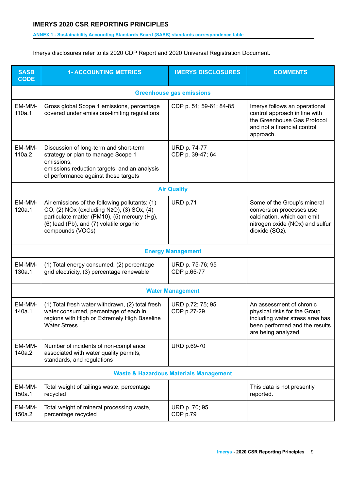#### **ANNEX 1 - Sustainability Accounting Standards Board (SASB) standards correspondence table**

Imerys disclosures refer to its 2020 CDP Report and 2020 Universal Registration Document.

| <b>SASB</b><br><b>CODE</b> | <b>1- ACCOUNTING METRICS</b>                                                                                                                                                                               | <b>IMERYS DISCLOSURES</b>        | <b>COMMENTS</b>                                                                                                                                      |  |  |  |  |
|----------------------------|------------------------------------------------------------------------------------------------------------------------------------------------------------------------------------------------------------|----------------------------------|------------------------------------------------------------------------------------------------------------------------------------------------------|--|--|--|--|
|                            | <b>Greenhouse gas emissions</b>                                                                                                                                                                            |                                  |                                                                                                                                                      |  |  |  |  |
| EM-MM-<br>110a.1           | Gross global Scope 1 emissions, percentage<br>covered under emissions-limiting regulations                                                                                                                 | CDP p. 51; 59-61; 84-85          | Imerys follows an operational<br>control approach in line with<br>the Greenhouse Gas Protocol<br>and not a financial control<br>approach.            |  |  |  |  |
| EM-MM-<br>110a.2           | Discussion of long-term and short-term<br>strategy or plan to manage Scope 1<br>emissions,<br>emissions reduction targets, and an analysis<br>of performance against those targets                         | URD p. 74-77<br>CDP p. 39-47; 64 |                                                                                                                                                      |  |  |  |  |
|                            |                                                                                                                                                                                                            | <b>Air Quality</b>               |                                                                                                                                                      |  |  |  |  |
| EM-MM-<br>120a.1           | Air emissions of the following pollutants: (1)<br>CO, (2) NOx (excluding N2O), (3) SOx, (4)<br>particulate matter (PM10), (5) mercury (Hg),<br>(6) lead (Pb), and (7) volatile organic<br>compounds (VOCs) | URD p.71                         | Some of the Group's mineral<br>conversion processes use<br>calcination, which can emit<br>nitrogen oxide (NOx) and sulfur<br>dioxide (SO2).          |  |  |  |  |
|                            |                                                                                                                                                                                                            | <b>Energy Management</b>         |                                                                                                                                                      |  |  |  |  |
| EM-MM-<br>130a.1           | (1) Total energy consumed, (2) percentage<br>grid electricity, (3) percentage renewable                                                                                                                    | URD p. 75-76; 95<br>CDP p.65-77  |                                                                                                                                                      |  |  |  |  |
|                            |                                                                                                                                                                                                            | <b>Water Management</b>          |                                                                                                                                                      |  |  |  |  |
| EM-MM-<br>140a.1           | (1) Total fresh water withdrawn, (2) total fresh<br>water consumed, percentage of each in<br>regions with High or Extremely High Baseline<br><b>Water Stress</b>                                           | URD p.72; 75; 95<br>CDP p.27-29  | An assessment of chronic<br>physical risks for the Group<br>including water stress area has<br>been performed and the results<br>are being analyzed. |  |  |  |  |
| EM-MM-<br>140a.2           | Number of incidents of non-compliance<br>associated with water quality permits,<br>standards, and regulations                                                                                              | <b>URD p.69-70</b>               |                                                                                                                                                      |  |  |  |  |
|                            | <b>Waste &amp; Hazardous Materials Management</b>                                                                                                                                                          |                                  |                                                                                                                                                      |  |  |  |  |
| EM-MM-<br>150a.1           | Total weight of tailings waste, percentage<br>recycled                                                                                                                                                     |                                  | This data is not presently<br>reported.                                                                                                              |  |  |  |  |
| EM-MM-<br>150a.2           | Total weight of mineral processing waste,<br>percentage recycled                                                                                                                                           | URD p. 70; 95<br>CDP p.79        |                                                                                                                                                      |  |  |  |  |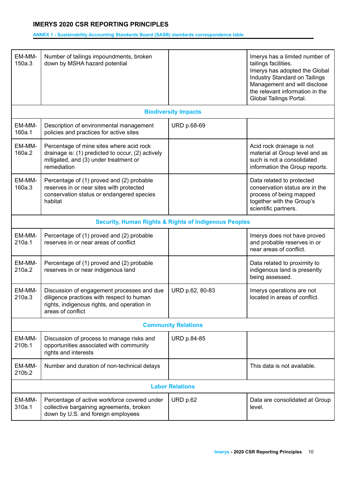#### **ANNEX 1 - Sustainability Accounting Standards Board (SASB) standards correspondence table**

| EM-MM-<br>150a.3       | Number of tailings impoundments, broken<br>down by MSHA hazard potential                                                                                    |                                                                  | Imerys has a limited number of<br>tailings facilities.<br>Imerys has adopted the Global<br>Industry Standard on Tailings<br>Management and will disclose<br>the relevant information in the<br>Global Tailings Portal. |  |
|------------------------|-------------------------------------------------------------------------------------------------------------------------------------------------------------|------------------------------------------------------------------|------------------------------------------------------------------------------------------------------------------------------------------------------------------------------------------------------------------------|--|
|                        |                                                                                                                                                             | <b>Biodiversity Impacts</b>                                      |                                                                                                                                                                                                                        |  |
| EM-MM-<br>160a.1       | Description of environmental management<br>policies and practices for active sites                                                                          | URD p.68-69                                                      |                                                                                                                                                                                                                        |  |
| EM-MM-<br>160a.2       | Percentage of mine sites where acid rock<br>drainage is: (1) predicted to occur, (2) actively<br>mitigated, and (3) under treatment or<br>remediation       |                                                                  | Acid rock drainage is not<br>material at Group level and as<br>such is not a consolidated<br>information the Group reports.                                                                                            |  |
| EM-MM-<br>160a.3       | Percentage of (1) proved and (2) probable<br>reserves in or near sites with protected<br>conservation status or endangered species<br>habitat               |                                                                  | Data related to protected<br>conservation status are in the<br>process of being mapped<br>together with the Group's<br>scientific partners.                                                                            |  |
|                        |                                                                                                                                                             | <b>Security, Human Rights &amp; Rights of Indigenous Peoples</b> |                                                                                                                                                                                                                        |  |
| EM-MM-<br>210a.1       | Percentage of (1) proved and (2) probable<br>reserves in or near areas of conflict                                                                          |                                                                  | Imerys does not have proved<br>and probable reserves in or<br>near areas of conflict.                                                                                                                                  |  |
| EM-MM-<br>210a.2       | Percentage of (1) proved and (2) probable<br>reserves in or near indigenous land                                                                            |                                                                  | Data related to proximity to<br>indigenous land is presently<br>being assessed.                                                                                                                                        |  |
| EM-MM-<br>210a.3       | Discussion of engagement processes and due<br>diligence practices with respect to human<br>rights, indigenous rights, and operation in<br>areas of conflict | URD p.62, 80-83                                                  | Imerys operations are not<br>located in areas of conflict.                                                                                                                                                             |  |
|                        |                                                                                                                                                             | <b>Community Relations</b>                                       |                                                                                                                                                                                                                        |  |
| EM-MM-<br>210b.1       | Discussion of process to manage risks and<br>opportunities associated with community<br>rights and interests                                                | <b>URD p.84-85</b>                                               |                                                                                                                                                                                                                        |  |
| EM-MM-<br>210b.2       | Number and duration of non-technical delays                                                                                                                 |                                                                  | This data is not available.                                                                                                                                                                                            |  |
| <b>Labor Relations</b> |                                                                                                                                                             |                                                                  |                                                                                                                                                                                                                        |  |
| EM-MM-<br>310a.1       | Percentage of active workforce covered under<br>collective bargaining agreements, broken<br>down by U.S. and foreign employees                              | URD p.62                                                         | Data are consolidated at Group<br>level.                                                                                                                                                                               |  |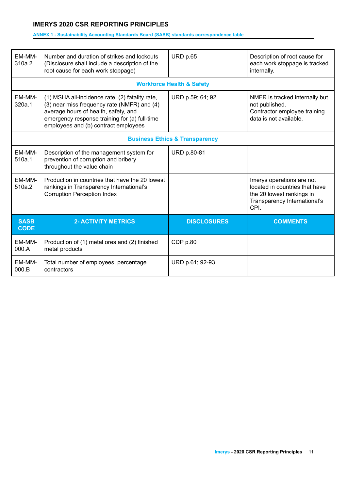#### **ANNEX 1 - Sustainability Accounting Standards Board (SASB) standards correspondence table**

| EM-MM-<br>310a.2           | Number and duration of strikes and lockouts<br>(Disclosure shall include a description of the<br>root cause for each work stoppage)                                                                                             | <b>URD p.65</b>                           | Description of root cause for<br>each work stoppage is tracked<br>internally.                                                    |
|----------------------------|---------------------------------------------------------------------------------------------------------------------------------------------------------------------------------------------------------------------------------|-------------------------------------------|----------------------------------------------------------------------------------------------------------------------------------|
|                            |                                                                                                                                                                                                                                 | <b>Workforce Health &amp; Safety</b>      |                                                                                                                                  |
| EM-MM-<br>320a.1           | (1) MSHA all-incidence rate, (2) fatality rate,<br>(3) near miss frequency rate (NMFR) and (4)<br>average hours of health, safety, and<br>emergency response training for (a) full-time<br>employees and (b) contract employees | URD p.59; 64; 92                          | NMFR is tracked internally but<br>not published.<br>Contractor employee training<br>data is not available.                       |
|                            |                                                                                                                                                                                                                                 | <b>Business Ethics &amp; Transparency</b> |                                                                                                                                  |
| EM-MM-<br>510a.1           | Description of the management system for<br>prevention of corruption and bribery<br>throughout the value chain                                                                                                                  | <b>URD p.80-81</b>                        |                                                                                                                                  |
| <b>EM-MM-</b><br>510a.2    | Production in countries that have the 20 lowest<br>rankings in Transparency International's<br><b>Corruption Perception Index</b>                                                                                               |                                           | Imerys operations are not<br>located in countries that have<br>the 20 lowest rankings in<br>Transparency International's<br>CPI. |
| <b>SASB</b><br><b>CODE</b> | <b>2- ACTIVITY METRICS</b>                                                                                                                                                                                                      | <b>DISCLOSURES</b>                        | <b>COMMENTS</b>                                                                                                                  |
| EM-MM-<br>000.A            | Production of (1) metal ores and (2) finished<br>metal products                                                                                                                                                                 | CDP p.80                                  |                                                                                                                                  |
| EM-MM-<br>000.B            | Total number of employees, percentage<br>contractors                                                                                                                                                                            | URD p.61; 92-93                           |                                                                                                                                  |